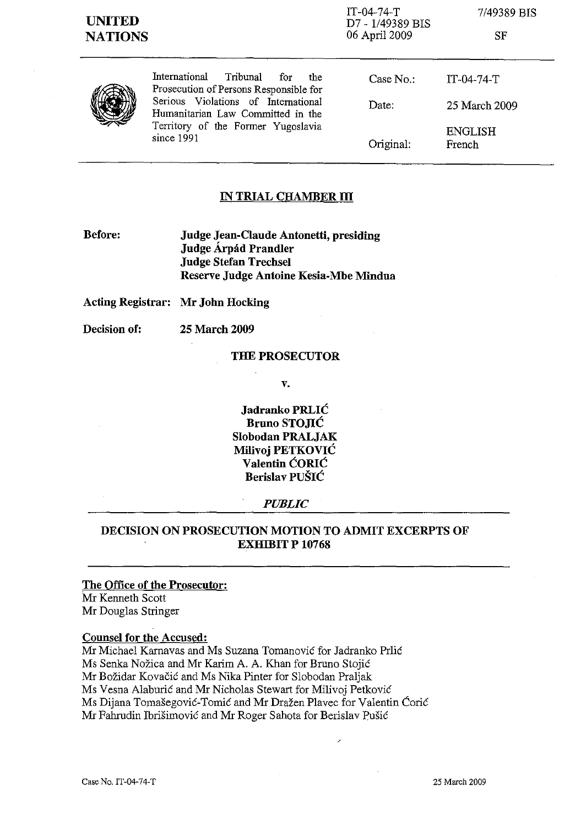SF



International Tribunal for the Prosecution of Persons Responsible for Serious Violations of International Humanitarian Law Committed in the Territory of the Former Yugoslavia since 1991

| Case No.: | IT-04-74-T               |
|-----------|--------------------------|
| Date:     | 25 March 2009            |
| Original: | <b>ENGLISH</b><br>French |

## **IN TRIAL CHAMBER III**

**Before: Judge Jean-Claude Antonetti, presiding Judge Arpad Prandler Judge Stefan Trechsel Reserve Judge Antoine Kesia-Mbe Mindua** 

**Acting Registrar: Mr John Hocking** 

**Decision of: 25 March 2009** 

#### **THE PROSECUTOR**

**v.** 

**Jadranko PRLIC Bruno STOJIC Slobodan PRALJAK Milivoj PETKOVIC Valentin CORIC Berislav PUSIC** 

#### *PUBLIC*

# **DECISION ON PROSECUTION MOTION TO ADMIT EXCERPTS OF EXHIBIT P 10768**

#### **The Office of the Prosecutor:**

Mr Kenneth Scott Mr Douglas Stringer

#### **Counsel for the Accused:**

Mr Michael Karnavas and Ms Suzana Tomanović for Jadranko Prlić Ms Senka Nozica **and** Mr Karim A. A. Khan for Bruno Stojic Mr Bozidar Kovacic and Ms Nika Pinter for Slobodan Praljak Ms Vesna Alaburić and Mr Nicholas Stewart for Milivoj Petković Ms Dijana Tomašegović-Tomić and Mr Dražen Plavec for Valentin Ćorić Mr Fahrudin Ibrisimovie and Mr Roger Sahota for Berislav pusic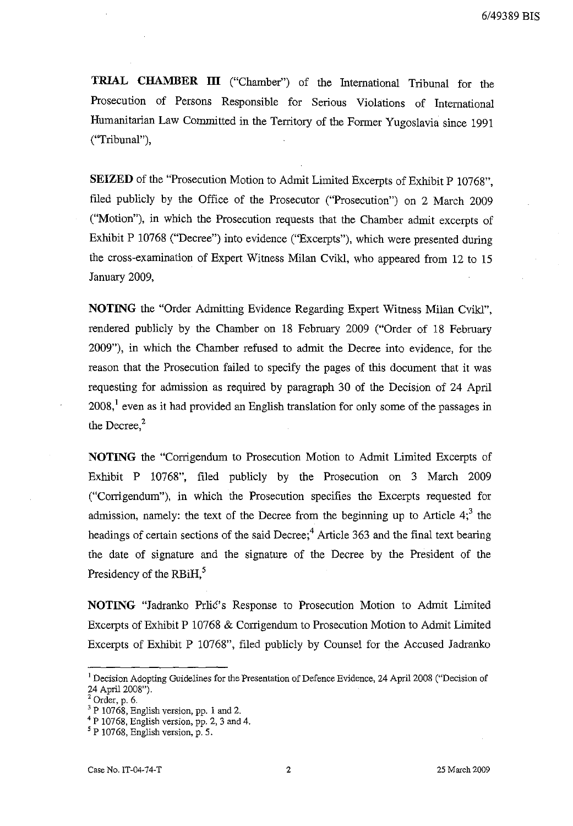6/49389 BIS

**TRIAL CHAMBER III** ("Chamber") of the International Tribunal for the Prosecution of Persons Responsible for Serious Violations of International Humanitarian Law Committed in the Territory of the Former Yugoslavia since 1991 ("Tribunal"),

**SEIZED** of the "Prosecution Motion to Admit Limited Excerpts of Exhibit P 10768", filed publicly by the Office of the Prosecutor ("Prosecution") on 2 March 2009 ("Motion"), in which the Prosecution requests that the Chamber admit excerpts of Exhibit P 10768 ("Decree") into evidence ("Excerpts"), which were presented during the cross-examination of Expert Witness Milan Cvikl, who appeared from 12 to 15 January 2009,

**NOTING** the "Order Admitting Evidence Regarding Expert Witness Milan Cvikl", rendered publicly by the Chamber on 18 February 2009 ("Order of 18 February 2009"), in which the Chamber refused to admit the Decree into evidence, for the reason that the Prosecution failed to specify the pages of this document that it was requesting for admission as required by paragraph 30 of the Decision of 24 April  $2008$ ,<sup>1</sup> even as it had provided an English translation for only some of the passages in the Decree, $2$ 

**NOTING** the "Corrigendum to Prosecution Motion to Admit Limited Excerpts of Exhibit P 10768", filed publicly by the Prosecution on 3 March 2009 ("Corrigendum"), in which the Prosecution specifies the Excerpts requested for admission, namely: the text of the Decree from the beginning up to Article  $4<sup>3</sup>$ , the headings of certain sections of the said Decree;<sup>4</sup> Article 363 and the final text bearing the date of signature and the signature of the Decree by the President of the Presidency of the RBiH, $^5$ 

**NOTING** "Jadranko Prlić's Response to Prosecution Motion to Admit Limited Excerpts of Exhibit P 10768 & Corrigendum to Prosecution Motion to Admit Limited Excerpts of Exhibit P 10768", filed publicly by Counsel for the Accused Jadranko

<sup>&</sup>lt;sup>1</sup> Decision Adopting Guidelines for the Presentation of Defence Evidence, 24 April 2008 ("Decision of 24 April 2008").

 $2^2$  Order, p. 6.

 $3$  P 10768, English version, pp. 1 and 2.

 $^{4}$  P 10768, English version, pp. 2, 3 and 4.

 $<sup>5</sup>$  P 10768, English version, p. 5.</sup>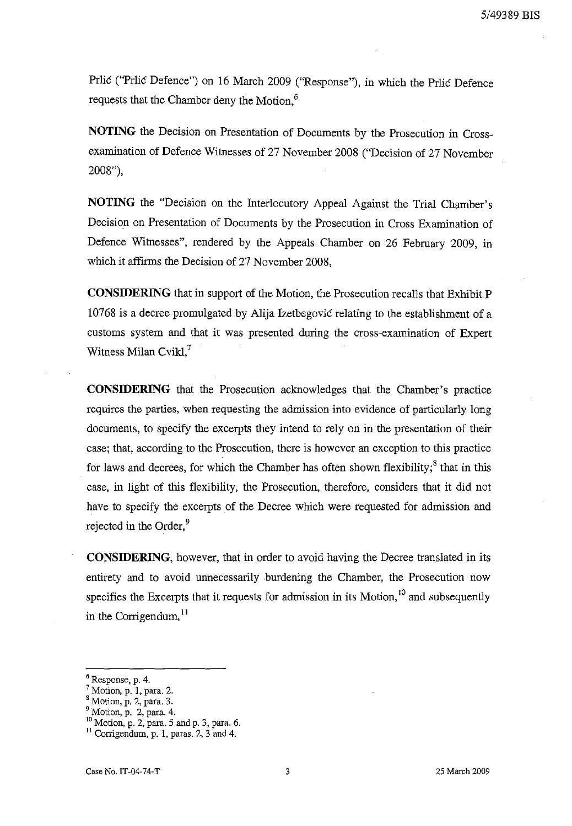Prlic ("Prlic Defence") on 16 March 2009 ("Response"), in which the Prlic Defence requests that the Chamber deny the Motion.<sup>6</sup>

**NOTING** the Decision on Presentation of Documents by the Prosecution in Crossexamination of Defence Witnesses of 27 November 2008 ("Decision of 27 November 2008"),

**NOTING** the "Decision on the Interlocutory Appeal Against the Trial Chamber's Decision on Presentation of Documents by the Prosecution in Cross Examination of Defence Witnesses", rendered by the Appeals Chamber on 26 February 2009, in which it affirms the Decision of 27 November 2008,

**CONSIDERING** that in support of the Motion, the Prosecution recalls that Exhibit P 10768 is a decree promulgated by Alija Izetbegovic relating to the establishment of a customs system and that it was presented during the cross-examination of Expert Witness Milan Cvikl, $^7$ 

**CONSIDERING** that the Prosecution acknowledges that the Chamber's practice requires the parties, when requesting the admission into evidence of particularly long documents, to specify the excerpts they intend to rely on in the presentation of their case; that, according to the Prosecution, there is however an exception to this practice for laws and decrees, for which the Chamber has often shown flexibility;<sup>8</sup> that in this case, in light of this fleXibility, the Prosecution, therefore, considers that it did not have to specify the excerpts of the Decree which were requested for admission and rejected in the Order,<sup>9</sup>

**CONSIDERING,** however, that in order to avoid having the Decree translated in its entirety and to avoid unnecessarily burdening the Chamber, the Prosecution now specifies the Excerpts that it requests for admission in its Motion,<sup>10</sup> and subsequently in the Corrigendum,  $^{11}$ 

<sup>6</sup> Response, p. 4.

<sup>7</sup> Motion, p. **1,** para. 2.

<sup>8</sup> Motion, p. 2, para. 3.

 $<sup>9</sup>$  Motion, p. 2, para. 4.</sup>

<sup>10</sup> Motion, p. 2, para. 5 and p. 3, para. 6.

<sup>11</sup> Corrigendum, p. **1,** paras. 2, 3 and 4.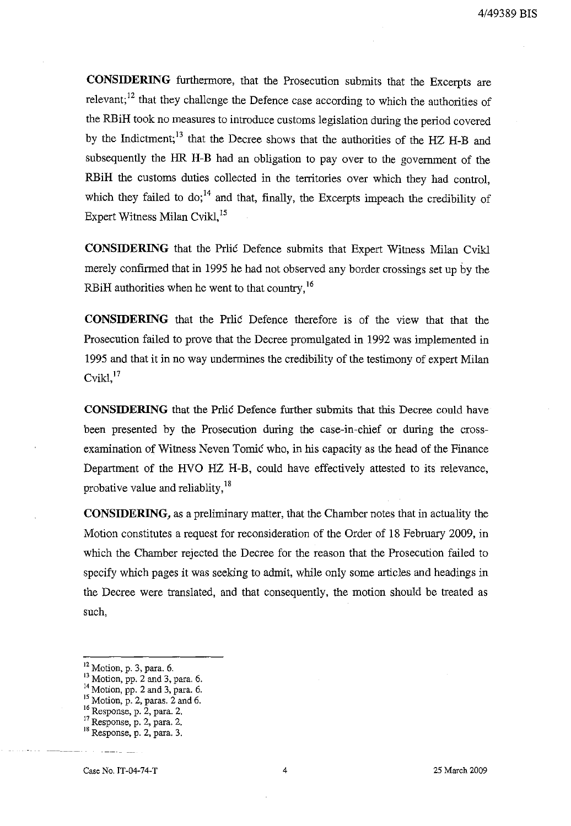**CONSIDERING** furthermore, that the Prosecution submits that the Excerpts are relevant;<sup>12</sup> that they challenge the Defence case according to which the authorities of the RBiH took no measures to introduce customs legislation during the period covered by the Indictment; 13 that the Decree shows that the authorities of the HZ H-B and subsequently the HR H-B had an obligation to pay over to the government of the RBiH the customs duties collected in the territories over which they had control, which they failed to do; $^{14}$  and that, finally, the Excerpts impeach the credibility of Expert Witness Milan Cvikl,<sup>15</sup>

**CONSIDERING** that the Prlic Defence submits that Expert Witness Milan Cvikl merely confirmed that in 1995 he had not observed any border crossings set up by the RBiH authorities when he went to that country, <sup>16</sup>

**CONSIDERING** that the Prlic Defence therefore is of the view that that the Prosecution failed to prove that the Decree promulgated in 1992 was implemented in 1995 and that it in no way undermines the credibility of the testimony of expert Milan  $C$ vikl, $17$ 

**CONSIDERING** that the Prlic Defence further submits that this Decree could have been presented by the Prosecution during the case-in-chief or during the crossexamination of Witness Neven Tomic who, in his capacity as the head of the Finance Department of the HVO HZ H-B, could have effectively attested to its relevance, probative value and reliablity,  $18$ 

**CONSIDERING,** as a preliminary matter, that the Chamber notes that in actuality the Motion constitutes a request for reconsideration of the Order of 18 February 2009, in which the Chamber rejected the Decree for the reason that the Prosecution failed to specify which pages it was seeking to admit, while only some articles and headings in the Decree were translated, and that consequently, the motion should be treated as such,

Case No. IT-04-74-T 4 25 March 2009

i2 Motion, p. 3, para. 6.

<sup>&</sup>lt;sup>13</sup> Motion, pp. 2 and 3, para. 6.

<sup>&</sup>lt;sup>14</sup> Motion, pp. 2 and 3, para. 6.

 $15$  Motion, p. 2, paras. 2 and 6.

<sup>&</sup>lt;sup>16</sup> Response, p. 2, para. 2.

 $17$  Response, p. 2, para. 2.

<sup>18</sup> Response, p. 2, para. 3.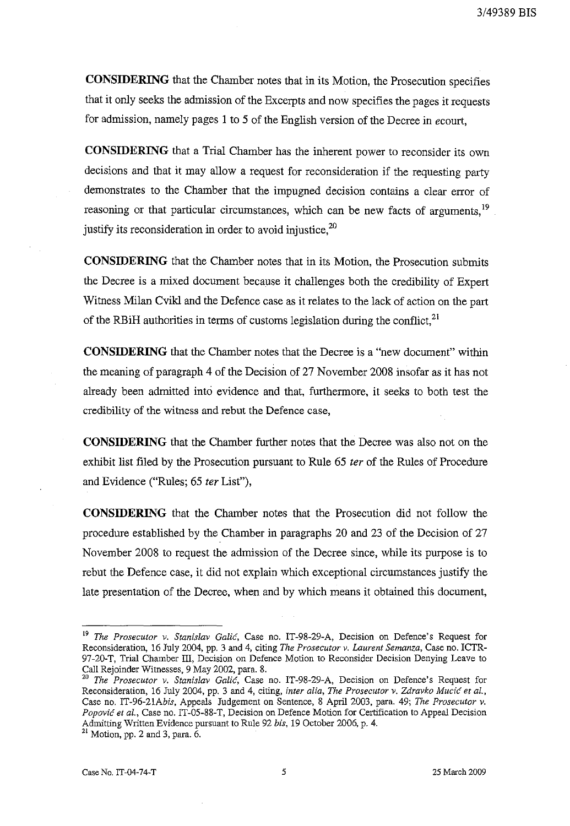**CONSIDERING** that the Chamber notes that in its Motion, the Prosecution specifies that it only seeks the admission of the Excerpts and now specifies the pages it requests for admission, namely pages I to 5 of the English version of the Decree in *ecourt,* 

**CONSIDERING** that a Trial Chamber has the inherent power to reconsider its own decisions and that it may allow a request for reconsideration if the requesting party demonstrates to the Chamber that the impugned decision contains a clear error of reasoning or that particular circumstances, which can be new facts of arguments,<sup>19</sup>. justify its reconsideration in order to avoid injustice.<sup>20</sup>

**CONSIDERING** that the Chamber notes that in its Motion, the Prosecution submits the Decree is a mixed document because it challenges both the credibility of Expert Witness Milan Cvikl and the Defence case as it relates to the lack of action on the part of the RBiH authorities in terms of customs legislation during the conflict, $^{21}$ 

**CONSIDERING** that the Chamber notes that the Decree is a "new document" within the meaning of paragraph 4 of the Decision of 27 November 2008 insofar as it has not already been admitted into evidence and that, furthermore, it seeks to both test the credibility of the witness and rebut the Defence case,

**CONSIDERING** that the Chamber further notes that the Decree was also not on the exhibit list filed by the Prosecution pursuant to Rule 65 ter of the Rules of Procedure and Evidence ("Rules; 65 fer List"),

**CONSIDERING** that the Chamber notes that the Prosecution did not follow the procedure established by the Chamber in paragraphs 20 and 23 of the Decision of 27 November 2008 to request the admission of the Decree since, while its purpose is to rebut the Defence case, it did not explain which exceptional circumstances justify the late presentation of the Decree, when and by which means it obtained this document,

<sup>&</sup>lt;sup>19</sup> The Prosecutor v. Stanislav Galić, Case no. IT-98-29-A, Decision on Defence's Request for Reconsideration, 16 July 2004, pp. 3 and 4, citing *The Prosecutor v. Laurent Semanza,* Case no. ICTR-97-20-T, Trial Chamber III, Decision on Defence Motion to Reconsider Decision Denying Leave to Call Rejoinder Witnesses, 9 May 2002, para. 8.<br><sup>20</sup> The Processity of Call Processes, 9 May 2002, para. 8.

The Prosecutor v. Stanislav Galić, Case no. IT-98-29-A, Decision on Defence's Request for Reconsideration, 16 July 2004, pp. 3 and 4, citing, *inter alia, The Prosecutor v. Zdravko Mucić et al.*, Case no. IT-96-21Abis, Appeals Judgement on Sentence, 8 April 2003, para. 49; *The Prosecutor v. Popovic et ai.,* Case no. IT-05-88-T, Decision on Defence Motion for Certification to Appeal Decision Admitting Written Evidence pursuant to Rule 92 *bis,* 19 October 2006, p. 4.

<sup>&</sup>lt;sup>21</sup> Motion, pp. 2 and 3, para. 6.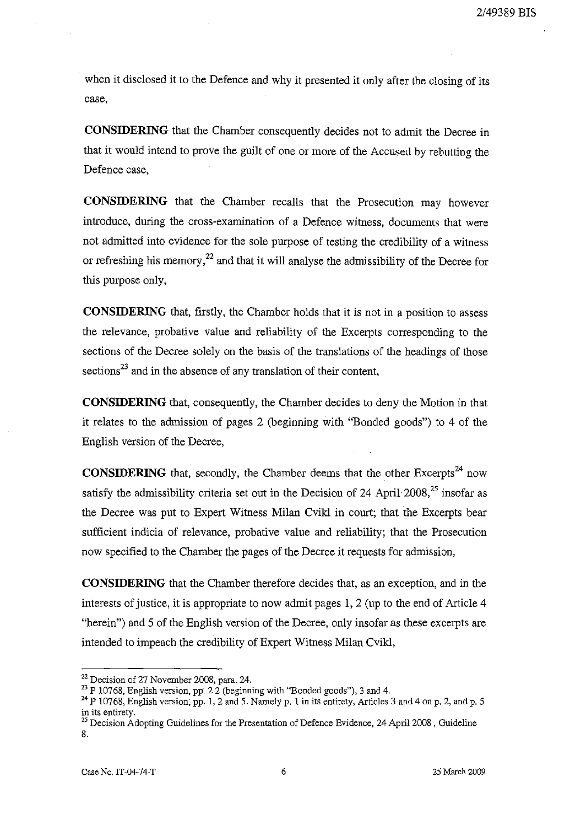when it disclosed it to the Defence and why it presented it only after the closing of its case,

**CONSIDERING** that the Chamber consequently decides not to admit the Decree in that it would intend to prove the guilt of one or more of the Accused by rebutting the Defence case,

**CONSIDERING** that the Chamber recalls that the Prosecution may however introduce, during the cross-examination of a Defence witness, documents that were not admitted into evidence for the sole purpose of testing the credibility of a witness or refreshing his memory,<sup>22</sup> and that it will analyse the admissibility of the Decree for this purpose only,

**CONSIDERING** that, firstly, the Chamber holds that it is not in a position to assess the relevance, probative value and reliability of the Excerpts corresponding to the sections of the Decree solely on the basis of the translations of the headings of those  $\text{sections}^{23}$  and in the absence of any translation of their content,

**CONSIDERING** that, consequently, the Chamber decides to deny the Motion in that it relates to the admission of pages 2 (beginning with "Bonded goods") to 4 of the English version of the Decree,

**CONSIDERING** that, secondly, the Chamber deems that the other Excerpts<sup>24</sup> now satisfy the admissibility criteria set out in the Decision of 24 April  $2008$ ,  $25$  insofar as the Decree was put to Expert Witness Milan Cvikl in court; that the Excerpts bear sufficient indicia of relevance, probative value and reliability; that the Prosecution now specified to the Chamber the pages of the Decree it requests for admission,

**CONSIDERING** that the Chamber therefore decides that, as an exception, and in the interests of justice, it is appropriate to now admit pages 1,2 (up to the end of Article 4 "herein") and 5 of the English version of the Decree, only insofar as these excerpts are intended to impeach the credibility of Expert Witness Milan Cvikl,

<sup>&</sup>lt;sup>22</sup> Decision of 27 November 2008, para. 24.

 $23$  P 10768, English version, pp. 2.2 (beginning with "Bonded goods"), 3 and 4.

<sup>&</sup>lt;sup>24</sup> P 10768, English version, pp. 1, 2 and 5. Namely p. 1 in its entirety, Articles 3 and 4 on p. 2, and p. 5 in its entirety.

<sup>&</sup>lt;sup>25</sup> Decision Adopting Guidelines for the Presentation of Defence Evidence, 24 April 2008, Guideline 8.